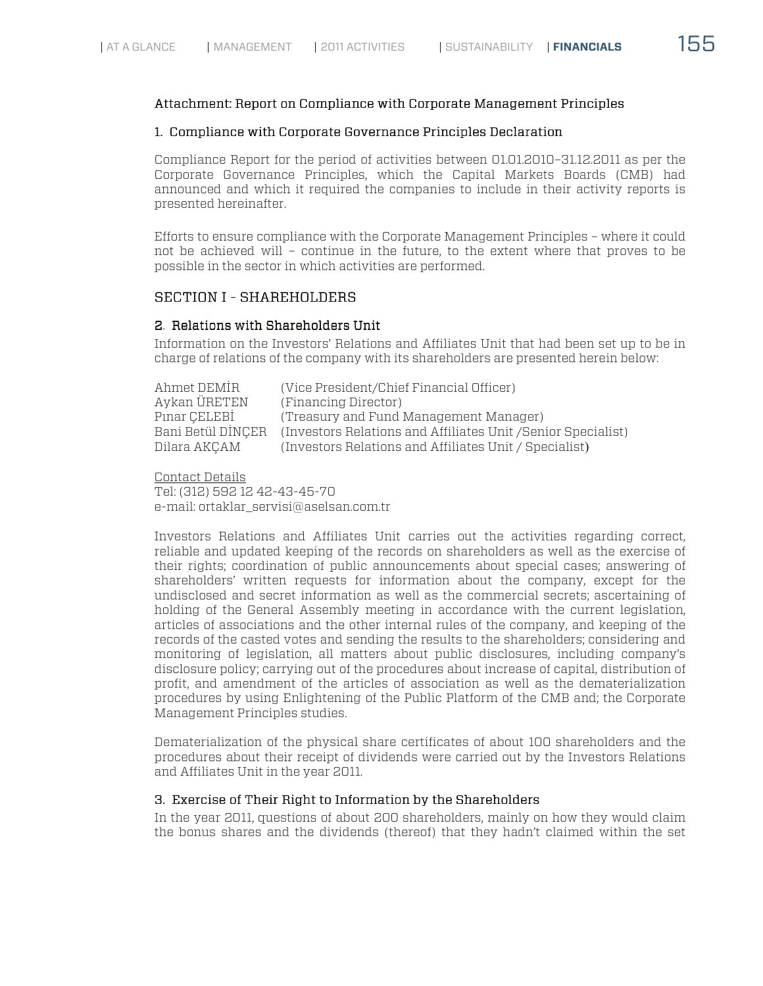### Attachment: Report on Compliance with Corporate Management Principles

#### 1. Compliance with Corporate Governance Principles Declaration

Compliance Report for the period of activities between 01.01.2010–31.12.2011 as per the Corporate Governance Principles, which the Capital Markets Boards (CMB) had announced and which it required the companies to include in their activity reports is presented hereinafter.

Efforts to ensure compliance with the Corporate Management Principles – where it could not be achieved will – continue in the future, to the extent where that proves to be possible in the sector in which activities are performed.

# SECTION I - SHAREHOLDERS

## 2. Relations with Shareholders Unit

Information on the Investors' Relations and Affiliates Unit that had been set up to be in charge of relations of the company with its shareholders are presented herein below:

| Ahmet DEMIR       | (Vice President/Chief Financial Officer)                      |
|-------------------|---------------------------------------------------------------|
| Aykan ÜRETEN      | (Financing Director)                                          |
| Pinar CELEBI      | (Treasury and Fund Management Manager)                        |
| Bani Betül DİNCER | (Investors Relations and Affiliates Unit / Senior Specialist) |
| Dilara AKCAM      | (Investors Relations and Affiliates Unit / Specialist)        |

Contact Details Tel: (312) 592 12 42-43-45-70 e-mail: ortaklar\_servisi@aselsan.com.tr

Investors Relations and Affiliates Unit carries out the activities regarding correct, reliable and updated keeping of the records on shareholders as well as the exercise of their rights; coordination of public announcements about special cases; answering of shareholders' written requests for information about the company, except for the undisclosed and secret information as well as the commercial secrets; ascertaining of holding of the General Assembly meeting in accordance with the current legislation, articles of associations and the other internal rules of the company, and keeping of the records of the casted votes and sending the results to the shareholders; considering and monitoring of legislation, all matters about public disclosures, including company's disclosure policy; carrying out of the procedures about increase of capital, distribution of profit, and amendment of the articles of association as well as the dematerialization procedures by using Enlightening of the Public Platform of the CMB and; the Corporate Management Principles studies.

Dematerialization of the physical share certificates of about 100 shareholders and the procedures about their receipt of dividends were carried out by the Investors Relations and Affiliates Unit in the year 2011.

# 3. Exercise of Their Right to Information by the Shareholders

In the year 2011, questions of about 200 shareholders, mainly on how they would claim the bonus shares and the dividends (thereof) that they hadn't claimed within the set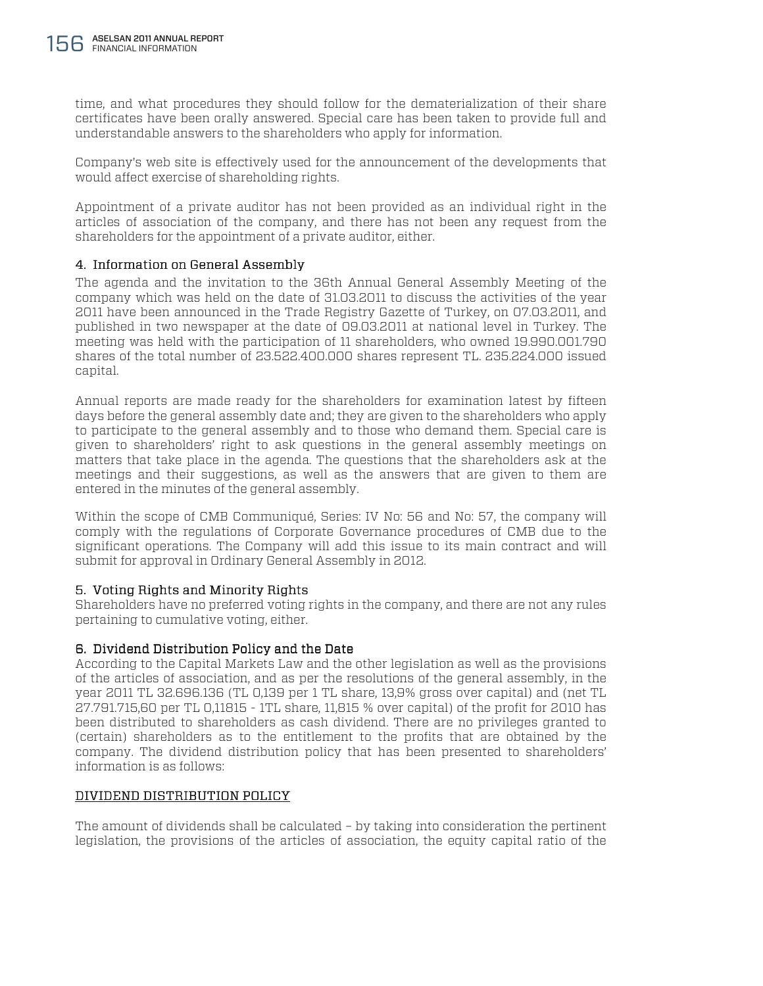time, and what procedures they should follow for the dematerialization of their share certificates have been orally answered. Special care has been taken to provide full and understandable answers to the shareholders who apply for information.

Company's web site is effectively used for the announcement of the developments that would affect exercise of shareholding rights.

Appointment of a private auditor has not been provided as an individual right in the articles of association of the company, and there has not been any request from the shareholders for the appointment of a private auditor, either.

# 4. Information on General Assembly

The agenda and the invitation to the 36th Annual General Assembly Meeting of the company which was held on the date of 31.03.2011 to discuss the activities of the year 2011 have been announced in the Trade Registry Gazette of Turkey, on 07.03.2011, and published in two newspaper at the date of 09.03.2011 at national level in Turkey. The meeting was held with the participation of 11 shareholders, who owned 19.990.001.790 shares of the total number of 23.522.400.000 shares represent TL. 235.224.000 issued capital.

Annual reports are made ready for the shareholders for examination latest by fifteen days before the general assembly date and; they are given to the shareholders who apply to participate to the general assembly and to those who demand them. Special care is given to shareholders' right to ask questions in the general assembly meetings on matters that take place in the agenda. The questions that the shareholders ask at the meetings and their suggestions, as well as the answers that are given to them are entered in the minutes of the general assembly.

Within the scope of CMB Communiqué, Series: IV No: 56 and No: 57, the company will comply with the regulations of Corporate Governance procedures of CMB due to the significant operations. The Company will add this issue to its main contract and will submit for approval in Ordinary General Assembly in 2012.

# 5. Voting Rights and Minority Rights

Shareholders have no preferred voting rights in the company, and there are not any rules pertaining to cumulative voting, either.

# 6. Dividend Distribution Policy and the Date

According to the Capital Markets Law and the other legislation as well as the provisions of the articles of association, and as per the resolutions of the general assembly, in the year 2011 TL 32.696.136 (TL 0,139 per 1 TL share, 13,9% gross over capital) and (net TL 27.791.715,60 per TL 0,11815 - 1TL share, 11,815 % over capital) of the profit for 2010 has been distributed to shareholders as cash dividend. There are no privileges granted to (certain) shareholders as to the entitlement to the profits that are obtained by the company. The dividend distribution policy that has been presented to shareholders' information is as follows:

# DIVIDEND DISTRIBUTION POLICY

The amount of dividends shall be calculated – by taking into consideration the pertinent legislation, the provisions of the articles of association, the equity capital ratio of the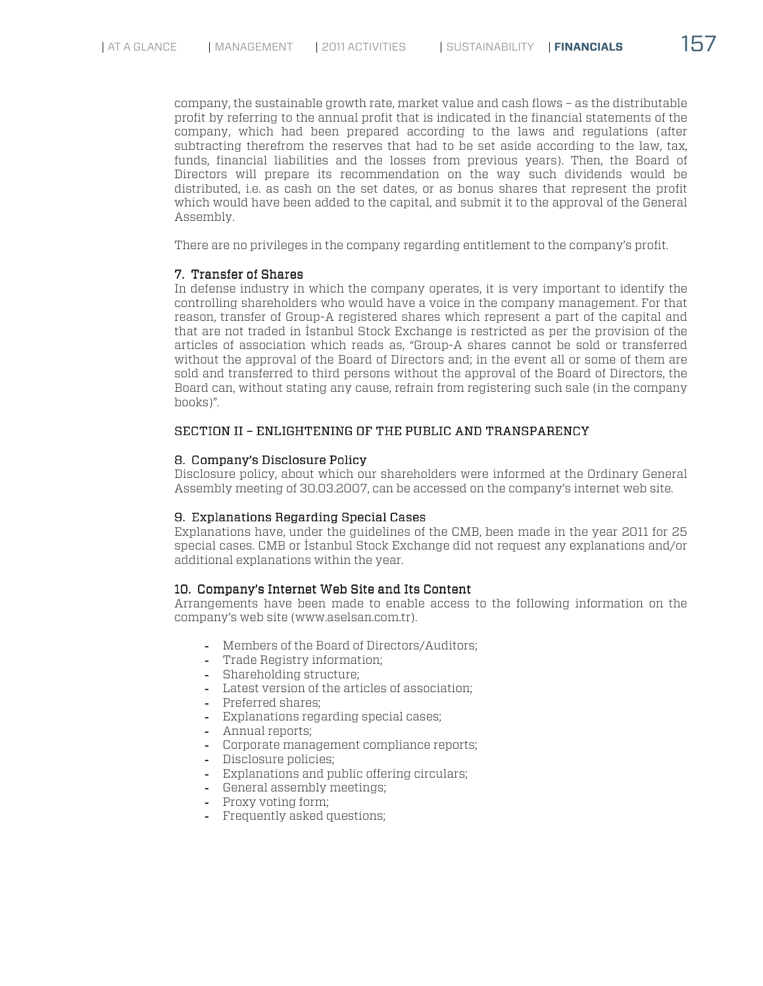company, the sustainable growth rate, market value and cash flows – as the distributable profit by referring to the annual profit that is indicated in the financial statements of the company, which had been prepared according to the laws and regulations (after subtracting therefrom the reserves that had to be set aside according to the law, tax, funds, financial liabilities and the losses from previous years). Then, the Board of Directors will prepare its recommendation on the way such dividends would be distributed, i.e. as cash on the set dates, or as bonus shares that represent the profit which would have been added to the capital, and submit it to the approval of the General Assembly.

There are no privileges in the company regarding entitlement to the company's profit.

# 7. Transfer of Shares

In defense industry in which the company operates, it is very important to identify the controlling shareholders who would have a voice in the company management. For that reason, transfer of Group-A registered shares which represent a part of the capital and that are not traded in İstanbul Stock Exchange is restricted as per the provision of the articles of association which reads as, "Group-A shares cannot be sold or transferred without the approval of the Board of Directors and; in the event all or some of them are sold and transferred to third persons without the approval of the Board of Directors, the Board can, without stating any cause, refrain from registering such sale (in the company books)".

### SECTION II – ENLIGHTENING OF THE PUBLIC AND TRANSPARENCY

### 8. Company's Disclosure Policy

Disclosure policy, about which our shareholders were informed at the Ordinary General Assembly meeting of 30.03.2007, can be accessed on the company's internet web site.

### 9. Explanations Regarding Special Cases

Explanations have, under the guidelines of the CMB, been made in the year 2011 for 25 special cases. CMB or İstanbul Stock Exchange did not request any explanations and/or additional explanations within the year.

### 10. Company's Internet Web Site and Its Content

Arrangements have been made to enable access to the following information on the company's web site (www.aselsan.com.tr).

- **!** Members of the Board of Directors/Auditors;
- **!** Trade Registry information;
- **!** Shareholding structure;
- **!** Latest version of the articles of association;
- **!** Preferred shares;
- **!** Explanations regarding special cases;
- **!** Annual reports;
- **!** Corporate management compliance reports;
- **!** Disclosure policies;
- **!** Explanations and public offering circulars;
- **!** General assembly meetings;
- **!** Proxy voting form;
- **!** Frequently asked questions;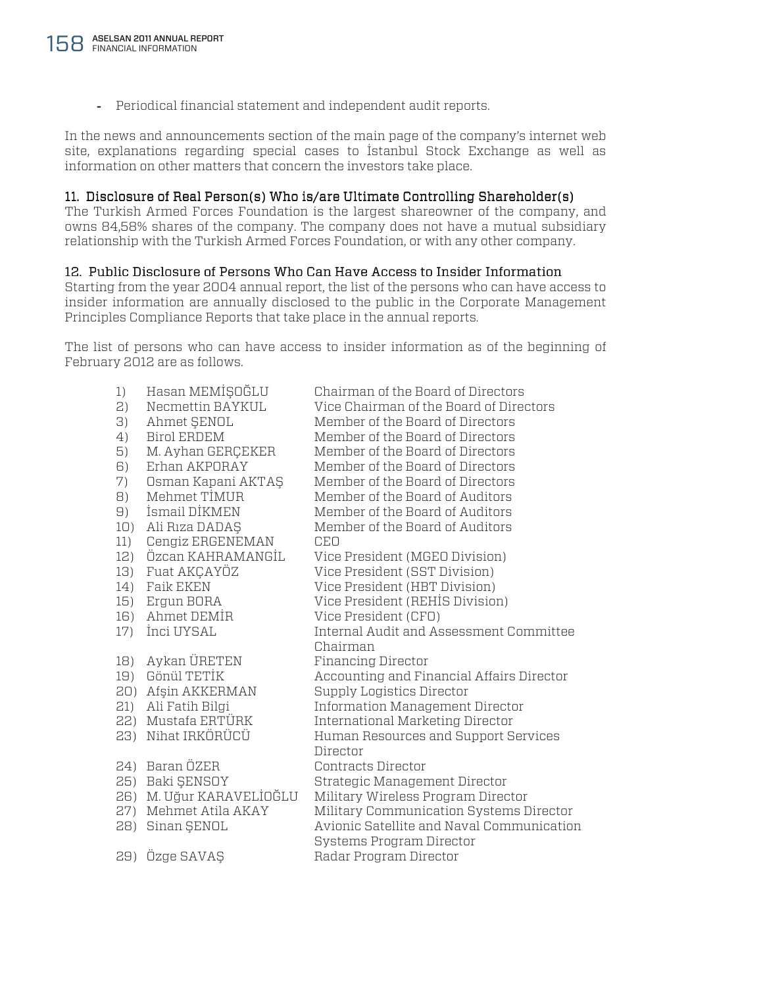Periodical financial statement and independent audit reports.

In the news and announcements section of the main page of the company's internet web site, explanations regarding special cases to İstanbul Stock Exchange as well as information on other matters that concern the investors take place.

# 11. Disclosure of Real Person(s) Who is/are Ultimate Controlling Shareholder(s)

The Turkish Armed Forces Foundation is the largest shareowner of the company, and owns 84,58% shares of the company. The company does not have a mutual subsidiary relationship with the Turkish Armed Forces Foundation, or with any other company.

### 12. Public Disclosure of Persons Who Can Have Access to Insider Information

Starting from the year 2004 annual report, the list of the persons who can have access to insider information are annually disclosed to the public in the Corporate Management Principles Compliance Reports that take place in the annual reports.

The list of persons who can have access to insider information as of the beginning of February 2012 are as follows.

| 1)  | Hasan MEMİŞOĞLU      | Chairman of the Board of Directors        |
|-----|----------------------|-------------------------------------------|
| 2)  | Necmettin BAYKUL     | Vice Chairman of the Board of Directors   |
| 3)  | Ahmet ŞENOL          | Member of the Board of Directors          |
| 4)  | <b>Birol ERDEM</b>   | Member of the Board of Directors          |
| 5)  | M. Ayhan GERÇEKER    | Member of the Board of Directors          |
| 6)  | Erhan AKPORAY        | Member of the Board of Directors          |
| 7)  | Osman Kapani AKTAŞ   | Member of the Board of Directors          |
| 8)  | Mehmet TIMUR         | Member of the Board of Auditors           |
| 9)  | İsmail DİKMEN        | Member of the Board of Auditors           |
| 10) | Ali Rıza DADAŞ       | Member of the Board of Auditors           |
| 11) | Cengiz ERGENEMAN     | <b>CEO</b>                                |
| 12) | Özcan KAHRAMANGİL    | Vice President (MGEO Division)            |
| 13) | Fuat AKCAYÖZ         | Vice President (SST Division)             |
| 14) | <b>Faik EKEN</b>     | Vice President (HBT Division)             |
| 15) | Ergun BORA           | Vice President (REHİS Division)           |
| 16) | Ahmet DEMIR          | Vice President (CFO)                      |
| 17) | İnci UYSAL           | Internal Audit and Assessment Committee   |
|     |                      | Chairman                                  |
| 18) | Aykan ÜRETEN         | <b>Financing Director</b>                 |
| 19) | Gönül TETİK          | Accounting and Financial Affairs Director |
| 20) | Afşin AKKERMAN       | Supply Logistics Director                 |
| 21) | Ali Fatih Bilgi      | Information Management Director           |
|     | 22) Mustafa ERTÜRK   | International Marketing Director          |
| 23) | Nihat IRKÖRÜCÜ       | Human Resources and Support Services      |
|     |                      | Director                                  |
|     | 24) Baran ÖZER       | Contracts Director                        |
| 25) | Baki ŞENSOY          | Strategic Management Director             |
| 26) | M. Uğur KARAVELİOĞLU | Military Wireless Program Director        |
| 27) | Mehmet Atila AKAY    | Military Communication Systems Director   |
| 28) | Sinan ŞENOL          | Avionic Satellite and Naval Communication |
|     |                      | Systems Program Director                  |
| 29) | Özge SAVAŞ           | Radar Program Director                    |
|     |                      |                                           |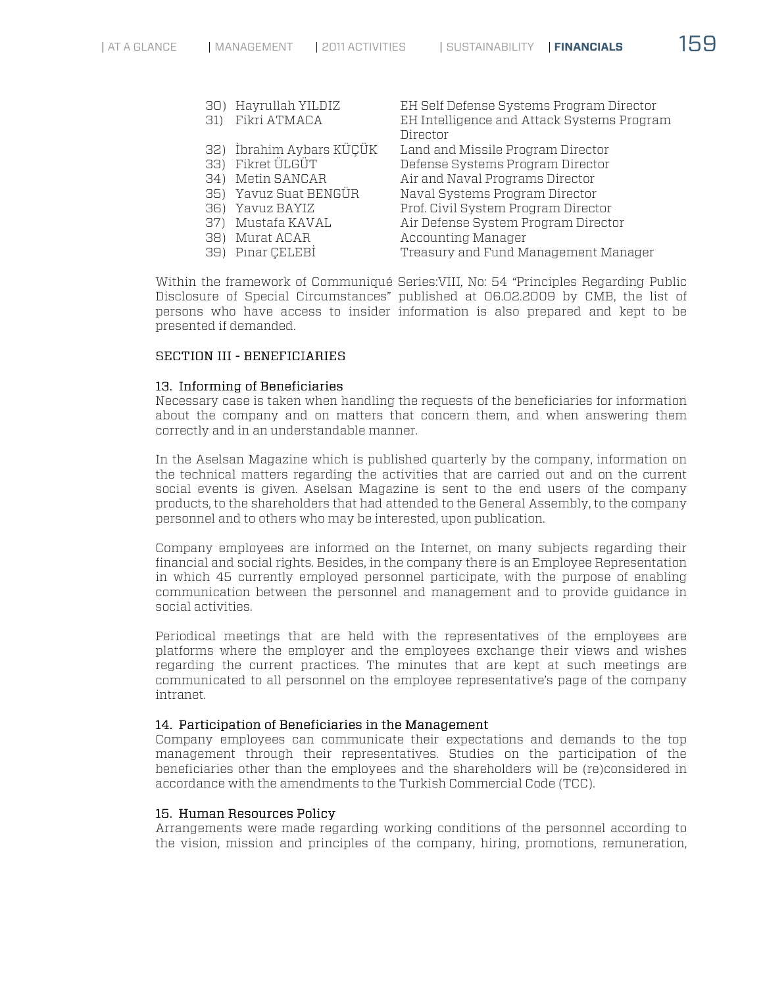| 30) | Hayrullah YILDIZ         | EH Self Defense Systems Program Director   |
|-----|--------------------------|--------------------------------------------|
| 31) | Fikri ATMACA             | EH Intelligence and Attack Systems Program |
|     |                          | Director                                   |
|     | 32) İbrahim Aybars KÜÇÜK | Land and Missile Program Director          |
| 33) | Fikret ÜLGÜT             | Defense Systems Program Director           |
| 34) | Metin SANCAR             | Air and Naval Programs Director            |
|     | 35) Yavuz Suat BENGÜR    | Naval Systems Program Director             |
| 36) | Yavuz BAYIZ              | Prof. Civil System Program Director        |
| 37) | Mustafa KAVAL            | Air Defense System Program Director        |
| 38) | Murat ACAR               | Accounting Manager                         |
| 39) | Pinar CELEBI             | Treasury and Fund Management Manager       |
|     |                          |                                            |

Within the framework of Communiqué Series:VIII, No: 54 "Principles Regarding Public Disclosure of Special Circumstances" published at 06.02.2009 by CMB, the list of persons who have access to insider information is also prepared and kept to be presented if demanded.

## SECTION III - BENEFICIARIES

### 13. Informing of Beneficiaries

Necessary case is taken when handling the requests of the beneficiaries for information about the company and on matters that concern them, and when answering them correctly and in an understandable manner.

In the Aselsan Magazine which is published quarterly by the company, information on the technical matters regarding the activities that are carried out and on the current social events is given. Aselsan Magazine is sent to the end users of the company products, to the shareholders that had attended to the General Assembly, to the company personnel and to others who may be interested, upon publication.

Company employees are informed on the Internet, on many subjects regarding their financial and social rights. Besides, in the company there is an Employee Representation in which 45 currently employed personnel participate, with the purpose of enabling communication between the personnel and management and to provide guidance in social activities.

Periodical meetings that are held with the representatives of the employees are platforms where the employer and the employees exchange their views and wishes regarding the current practices. The minutes that are kept at such meetings are communicated to all personnel on the employee representative's page of the company intranet.

#### 14. Participation of Beneficiaries in the Management

Company employees can communicate their expectations and demands to the top management through their representatives. Studies on the participation of the beneficiaries other than the employees and the shareholders will be (re)considered in accordance with the amendments to the Turkish Commercial Code (TCC).

#### 15. Human Resources Policy

Arrangements were made regarding working conditions of the personnel according to the vision, mission and principles of the company, hiring, promotions, remuneration,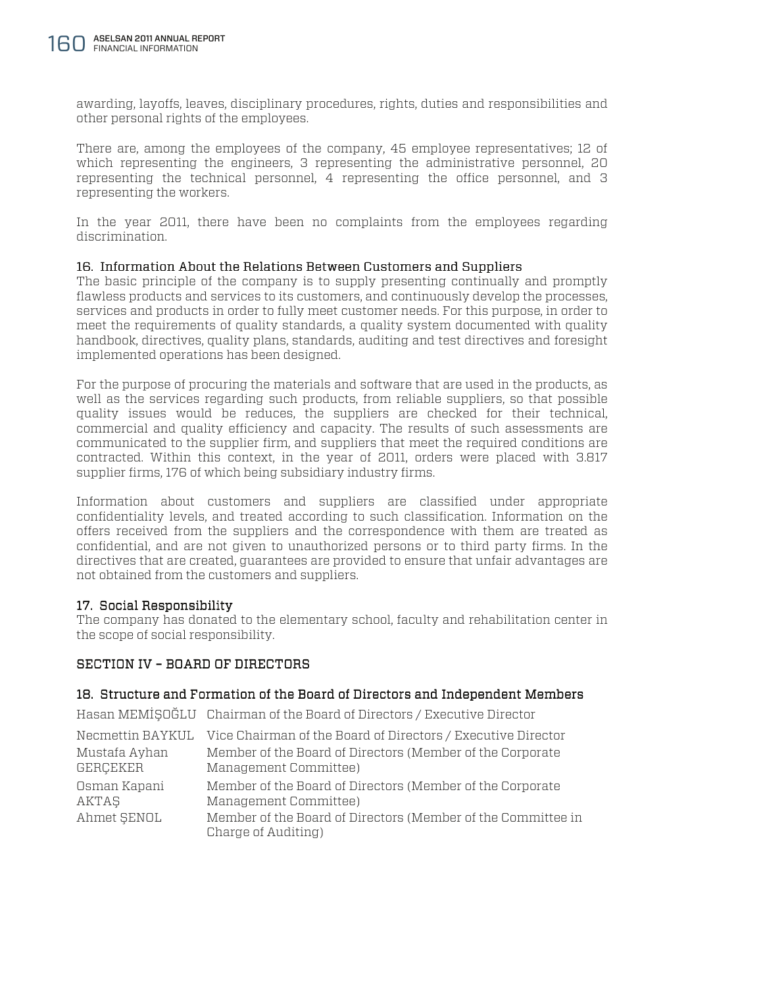awarding, layoffs, leaves, disciplinary procedures, rights, duties and responsibilities and other personal rights of the employees.

There are, among the employees of the company, 45 employee representatives; 12 of which representing the engineers, 3 representing the administrative personnel, 20 representing the technical personnel, 4 representing the office personnel, and 3 representing the workers.

In the year 2011, there have been no complaints from the employees regarding discrimination.

### 16. Information About the Relations Between Customers and Suppliers

The basic principle of the company is to supply presenting continually and promptly flawless products and services to its customers, and continuously develop the processes, services and products in order to fully meet customer needs. For this purpose, in order to meet the requirements of quality standards, a quality system documented with quality handbook, directives, quality plans, standards, auditing and test directives and foresight implemented operations has been designed.

For the purpose of procuring the materials and software that are used in the products, as well as the services regarding such products, from reliable suppliers, so that possible quality issues would be reduces, the suppliers are checked for their technical, commercial and quality efficiency and capacity. The results of such assessments are communicated to the supplier firm, and suppliers that meet the required conditions are contracted. Within this context, in the year of 2011, orders were placed with 3.817 supplier firms, 176 of which being subsidiary industry firms.

Information about customers and suppliers are classified under appropriate confidentiality levels, and treated according to such classification. Information on the offers received from the suppliers and the correspondence with them are treated as confidential, and are not given to unauthorized persons or to third party firms. In the directives that are created, guarantees are provided to ensure that unfair advantages are not obtained from the customers and suppliers.

# 17. Social Responsibility 17.

The company has donated to the elementary school, faculty and rehabilitation center in the scope of social responsibility.

# SECTION IV – BOARD OF DIRECTORS

### 18. Structure and Formation of the Board of Directors and Independent Members

Hasan MEMİŞOĞLU Chairman of the Board of Directors / Executive Director

|               | Necmettin BAYKUL Vice Chairman of the Board of Directors / Executive Director       |
|---------------|-------------------------------------------------------------------------------------|
| Mustafa Ayhan | Member of the Board of Directors (Member of the Corporate                           |
| GERÇEKER      | Management Committee)                                                               |
| Osman Kapani  | Member of the Board of Directors (Member of the Corporate                           |
| AKTAŞ         | Management Committee)                                                               |
| Ahmet SENOL   | Member of the Board of Directors (Member of the Committee in<br>Charge of Auditing) |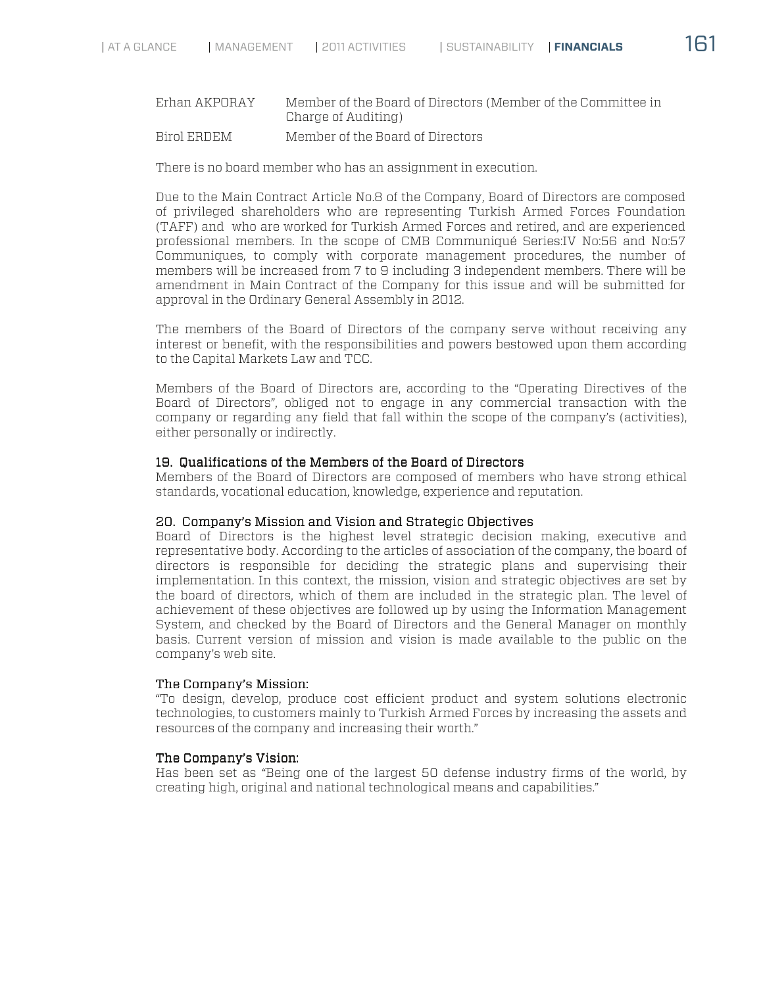# Erhan AKPORAY Member of the Board of Directors (Member of the Committee in Charge of Auditing)

Birol ERDEM Member of the Board of Directors

There is no board member who has an assignment in execution.

Due to the Main Contract Article No.8 of the Company, Board of Directors are composed of privileged shareholders who are representing Turkish Armed Forces Foundation (TAFF) and who are worked for Turkish Armed Forces and retired, and are experienced professional members. In the scope of CMB Communiqué Series:IV No:56 and No:57 Communiques, to comply with corporate management procedures, the number of members will be increased from 7 to 9 including 3 independent members. There will be amendment in Main Contract of the Company for this issue and will be submitted for approval in the Ordinary General Assembly in 2012.

The members of the Board of Directors of the company serve without receiving any interest or benefit, with the responsibilities and powers bestowed upon them according to the Capital Markets Law and TCC.

Members of the Board of Directors are, according to the "Operating Directives of the Board of Directors", obliged not to engage in any commercial transaction with the company or regarding any field that fall within the scope of the company's (activities), either personally or indirectly.

### 19. Qualifications of the Members of the Board of Directors

Members of the Board of Directors are composed of members who have strong ethical standards, vocational education, knowledge, experience and reputation.

### 20. Company's Mission and Vision and Strategic Objectives

Board of Directors is the highest level strategic decision making, executive and representative body. According to the articles of association of the company, the board of directors is responsible for deciding the strategic plans and supervising their implementation. In this context, the mission, vision and strategic objectives are set by the board of directors, which of them are included in the strategic plan. The level of achievement of these objectives are followed up by using the Information Management System, and checked by the Board of Directors and the General Manager on monthly basis. Current version of mission and vision is made available to the public on the company's web site.

### The Company's Mission:

"To design, develop, produce cost efficient product and system solutions electronic technologies, to customers mainly to Turkish Armed Forces by increasing the assets and resources of the company and increasing their worth."

### The Company's Vision:

Has been set as "Being one of the largest 50 defense industry firms of the world, by creating high, original and national technological means and capabilities."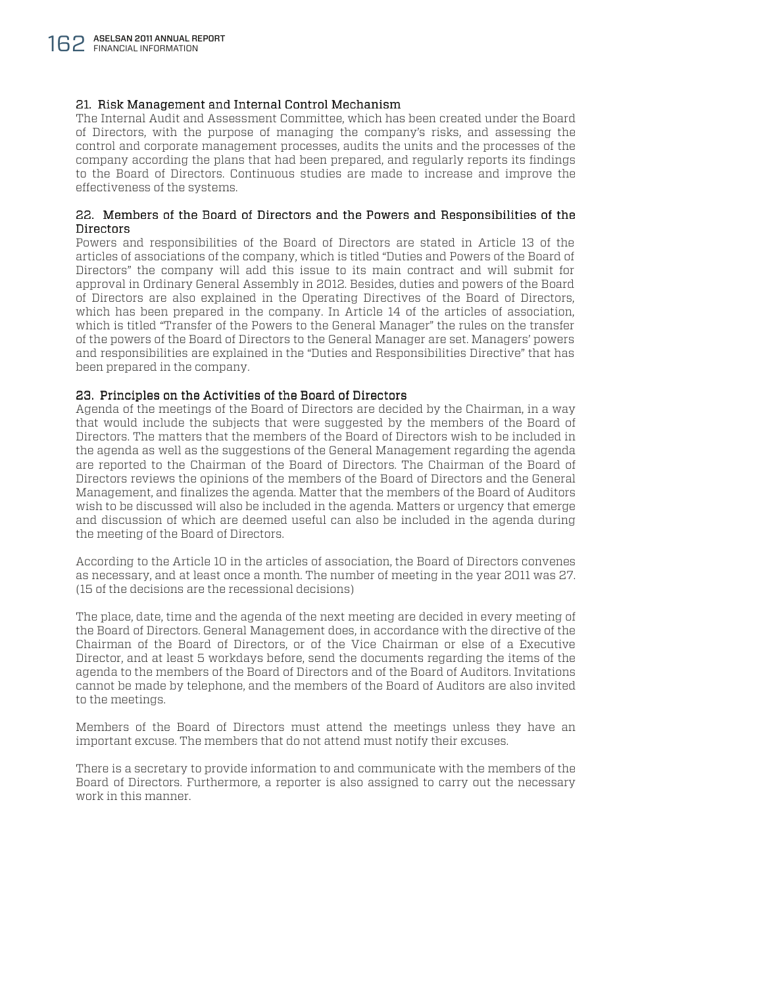#### 21. Risk Management and Internal Control Mechanism

The Internal Audit and Assessment Committee, which has been created under the Board of Directors, with the purpose of managing the company's risks, and assessing the control and corporate management processes, audits the units and the processes of the company according the plans that had been prepared, and regularly reports its findings to the Board of Directors. Continuous studies are made to increase and improve the effectiveness of the systems.

#### 22. Members of the Board of Directors and the Powers and Responsibilities of the Directors

Powers and responsibilities of the Board of Directors are stated in Article 13 of the articles of associations of the company, which is titled "Duties and Powers of the Board of Directors" the company will add this issue to its main contract and will submit for approval in Ordinary General Assembly in 2012. Besides, duties and powers of the Board of Directors are also explained in the Operating Directives of the Board of Directors, which has been prepared in the company. In Article 14 of the articles of association, which is titled "Transfer of the Powers to the General Manager" the rules on the transfer of the powers of the Board of Directors to the General Manager are set. Managers' powers and responsibilities are explained in the "Duties and Responsibilities Directive" that has been prepared in the company.

#### 23. Principles on the Activities of the Board of Directors

Agenda of the meetings of the Board of Directors are decided by the Chairman, in a way that would include the subjects that were suggested by the members of the Board of Directors. The matters that the members of the Board of Directors wish to be included in the agenda as well as the suggestions of the General Management regarding the agenda are reported to the Chairman of the Board of Directors. The Chairman of the Board of Directors reviews the opinions of the members of the Board of Directors and the General Management, and finalizes the agenda. Matter that the members of the Board of Auditors wish to be discussed will also be included in the agenda. Matters or urgency that emerge and discussion of which are deemed useful can also be included in the agenda during the meeting of the Board of Directors.

According to the Article 10 in the articles of association, the Board of Directors convenes as necessary, and at least once a month. The number of meeting in the year 2011 was 27. (15 of the decisions are the recessional decisions)

The place, date, time and the agenda of the next meeting are decided in every meeting of the Board of Directors. General Management does, in accordance with the directive of the Chairman of the Board of Directors, or of the Vice Chairman or else of a Executive Director, and at least 5 workdays before, send the documents regarding the items of the agenda to the members of the Board of Directors and of the Board of Auditors. Invitations cannot be made by telephone, and the members of the Board of Auditors are also invited to the meetings.

Members of the Board of Directors must attend the meetings unless they have an important excuse. The members that do not attend must notify their excuses.

There is a secretary to provide information to and communicate with the members of the Board of Directors. Furthermore, a reporter is also assigned to carry out the necessary work in this manner.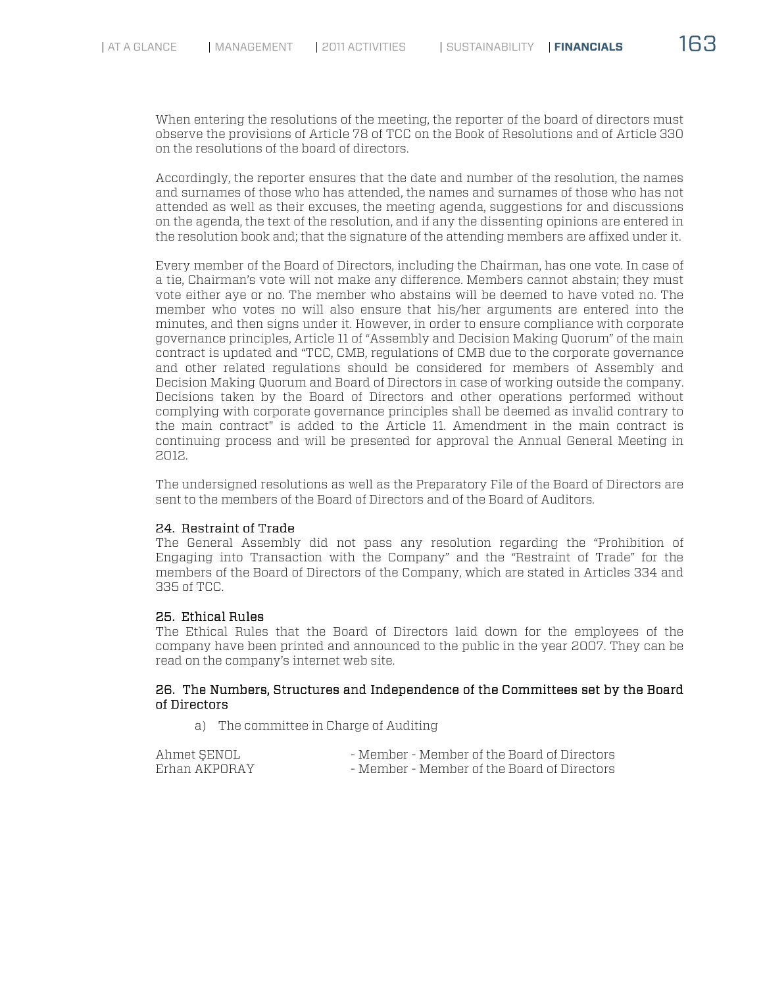When entering the resolutions of the meeting, the reporter of the board of directors must observe the provisions of Article 78 of TCC on the Book of Resolutions and of Article 330 on the resolutions of the board of directors.

Accordingly, the reporter ensures that the date and number of the resolution, the names and surnames of those who has attended, the names and surnames of those who has not attended as well as their excuses, the meeting agenda, suggestions for and discussions on the agenda, the text of the resolution, and if any the dissenting opinions are entered in the resolution book and; that the signature of the attending members are affixed under it.

Every member of the Board of Directors, including the Chairman, has one vote. In case of a tie, Chairman's vote will not make any difference. Members cannot abstain; they must vote either aye or no. The member who abstains will be deemed to have voted no. The member who votes no will also ensure that his/her arguments are entered into the minutes, and then signs under it. However, in order to ensure compliance with corporate governance principles, Article 11 of "Assembly and Decision Making Quorum" of the main contract is updated and "TCC, CMB, regulations of CMB due to the corporate governance and other related regulations should be considered for members of Assembly and Decision Making Quorum and Board of Directors in case of working outside the company. Decisions taken by the Board of Directors and other operations performed without complying with corporate governance principles shall be deemed as invalid contrary to the main contract" is added to the Article 11. Amendment in the main contract is continuing process and will be presented for approval the Annual General Meeting in 2012.

The undersigned resolutions as well as the Preparatory File of the Board of Directors are sent to the members of the Board of Directors and of the Board of Auditors.

### 24. Restraint of Trade

The General Assembly did not pass any resolution regarding the "Prohibition of Engaging into Transaction with the Company" and the "Restraint of Trade" for the members of the Board of Directors of the Company, which are stated in Articles 334 and 335 of TCC.

# 25. Ethical Rules

The Ethical Rules that the Board of Directors laid down for the employees of the company have been printed and announced to the public in the year 2007. They can be read on the company's internet web site.

### 26. The Numbers, Structures and Independence of the Committees set by the Board of Directors

a) The committee in Charge of Auditing

| Ahmet SENOL   | - Member - Member of the Board of Directors |
|---------------|---------------------------------------------|
| Erhan AKPORAY | - Member - Member of the Board of Directors |